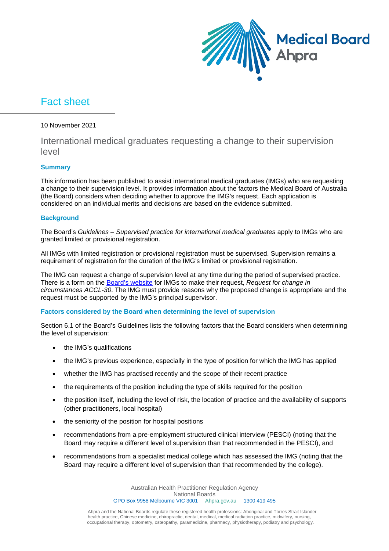

# Fact sheet

#### 10 November 2021

# International medical graduates requesting a change to their supervision level

## **Summary**

This information has been published to assist international medical graduates (IMGs) who are requesting a change to their supervision level. It provides information about the factors the Medical Board of Australia (the Board) considers when deciding whether to approve the IMG's request. Each application is considered on an individual merits and decisions are based on the evidence submitted.

## **Background**

The Board's *Guidelines – Supervised practice for international medical graduates* apply to IMGs who are granted limited or provisional registration.

All IMGs with limited registration or provisional registration must be supervised. Supervision remains a requirement of registration for the duration of the IMG's limited or provisional registration.

The IMG can request a change of supervision level at any time during the period of supervised practice. There is a form on the [Board's website](https://www.medicalboard.gov.au/Registration/Forms.aspx) for IMGs to make their request, *Request for change in circumstances ACCL-30*. The IMG must provide reasons why the proposed change is appropriate and the request must be supported by the IMG's principal supervisor.

#### **Factors considered by the Board when determining the level of supervision**

Section 6.1 of the Board's Guidelines lists the following factors that the Board considers when determining the level of supervision:

- the IMG's qualifications
- the IMG's previous experience, especially in the type of position for which the IMG has applied
- whether the IMG has practised recently and the scope of their recent practice
- the requirements of the position including the type of skills required for the position
- the position itself, including the level of risk, the location of practice and the availability of supports (other practitioners, local hospital)
- the seniority of the position for hospital positions
- recommendations from a pre-employment structured clinical interview (PESCI) (noting that the Board may require a different level of supervision than that recommended in the PESCI), and
- recommendations from a specialist medical college which has assessed the IMG (noting that the Board may require a different level of supervision than that recommended by the college).

Australian Health Practitioner Regulation Agency National Boards GPO Box 9958 Melbourne VIC 3001 Ahpra.gov.au 1300 419 495